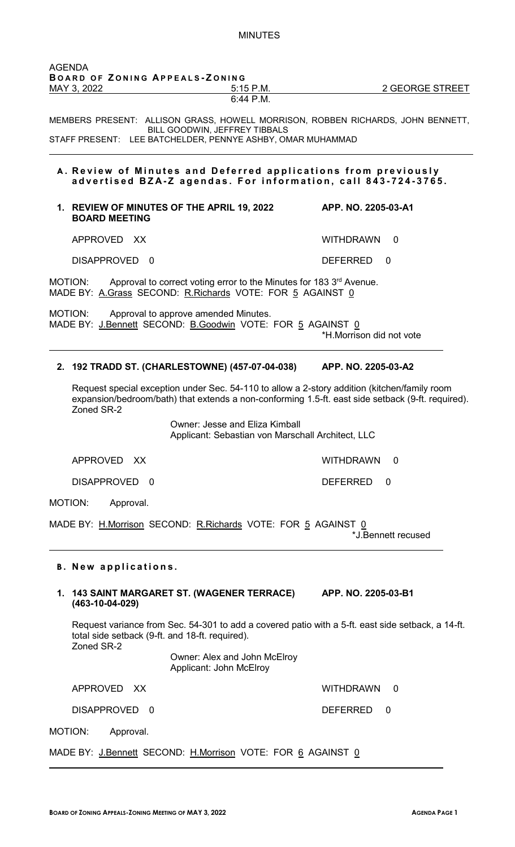| AGENDA      |                                |  |
|-------------|--------------------------------|--|
|             | BOARD OF ZONING APPEALS-ZONING |  |
| MAY 3, 2022 | $5:15$ P.M.                    |  |
|             | $6:44$ P.M.                    |  |

 $\overline{\phantom{a}}$ 

MEMBERS PRESENT: ALLISON GRASS, HOWELL MORRISON, ROBBEN RICHARDS, JOHN BENNETT, BILL GOODWIN, JEFFREY TIBBALS STAFF PRESENT: LEE BATCHELDER, PENNYE ASHBY, OMAR MUHAMMAD

#### **A . Review of Minutes and Deferred applications from previously advertised BZA - Z agendas. For information , call 843 - 724 - 3765.**

#### **1. REVIEW OF MINUTES OF THE APRIL 19, 2022 APP. NO. 2205-03-A1 BOARD MEETING**

APPROVED XX WITHDRAWN 0

DISAPPROVED 0 DEFERRED 0

 $\overline{\phantom{a}}$ 

 $\overline{\phantom{a}}$ 

 $\overline{a}$ 

MOTION: Approval to correct voting error to the Minutes for 183 3<sup>rd</sup> Avenue. MADE BY: A.Grass SECOND: R.Richards VOTE: FOR 5 AGAINST 0

MOTION: Approval to approve amended Minutes. MADE BY: J.Bennett SECOND: B.Goodwin VOTE: FOR 5 AGAINST 0

\*H.Morrison did not vote

# **2. 192 TRADD ST. (CHARLESTOWNE) (457-07-04-038) APP. NO. 2205-03-A2**

Request special exception under Sec. 54-110 to allow a 2-story addition (kitchen/family room expansion/bedroom/bath) that extends a non-conforming 1.5-ft. east side setback (9-ft. required). Zoned SR-2

> Owner: Jesse and Eliza Kimball Applicant: Sebastian von Marschall Architect, LLC

APPROVED XX WITHDRAWN 0

DISAPPROVED 0 DEFERRED 0

MOTION: Approval.

MADE BY: H.Morrison SECOND: R.Richards VOTE: FOR 5 AGAINST 0

\*J.Bennett recused

#### **B . New applications.**

# **1. 143 SAINT MARGARET ST. (WAGENER TERRACE) APP. NO. 2205-03-B1 (463-10-04-029)**

Request variance from Sec. 54-301 to add a covered patio with a 5-ft. east side setback, a 14-ft. total side setback (9-ft. and 18-ft. required). Zoned SR-2

> Owner: Alex and John McElroy Applicant: John McElroy

APPROVED XX WITHDRAWN 0

DISAPPROVED 0 DEFERRED 0

MOTION: Approval.

MADE BY: J.Bennett SECOND: H.Morrison VOTE: FOR 6 AGAINST 0

2 GEORGE STREET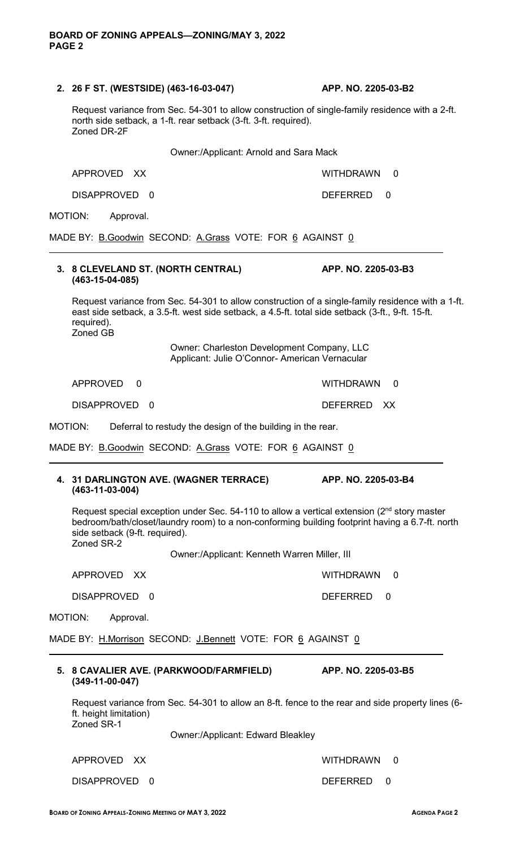# **2. 26 F ST. (WESTSIDE) (463-16-03-047) APP. NO. 2205-03-B2**

Request variance from Sec. 54-301 to allow construction of single-family residence with a 2-ft. north side setback, a 1-ft. rear setback (3-ft. 3-ft. required). Zoned DR-2F

Owner:/Applicant: Arnold and Sara Mack

DISAPPROVED 0 DEFERRED 0

MOTION: Approval.

 $\overline{a}$ 

 $\overline{\phantom{a}}$ 

 $\overline{a}$ 

MADE BY: B.Goodwin SECOND: A.Grass VOTE: FOR 6 AGAINST 0

# **3. 8 CLEVELAND ST. (NORTH CENTRAL) APP. NO. 2205-03-B3 (463-15-04-085)**

Request variance from Sec. 54-301 to allow construction of a single-family residence with a 1-ft. east side setback, a 3.5-ft. west side setback, a 4.5-ft. total side setback (3-ft., 9-ft. 15-ft. required). Zoned GB

> Owner: Charleston Development Company, LLC Applicant: Julie O'Connor- American Vernacular

APPROVED 0 WITHDRAWN 0

DISAPPROVED 0 DEFERRED XX

MOTION: Deferral to restudy the design of the building in the rear.

MADE BY: B.Goodwin SECOND: A.Grass VOTE: FOR 6 AGAINST 0

#### **4. 31 DARLINGTON AVE. (WAGNER TERRACE) APP. NO. 2205-03-B4 (463-11-03-004)**

Request special exception under Sec. 54-110 to allow a vertical extension (2<sup>nd</sup> story master bedroom/bath/closet/laundry room) to a non-conforming building footprint having a 6.7-ft. north side setback (9-ft. required). Zoned SR-2

Owner:/Applicant: Kenneth Warren Miller, III

APPROVED XX WITHDRAWN 0

DISAPPROVED 0 DEFERRED 0

MOTION: Approval.

**(349-11-00-047)** 

MADE BY: H.Morrison SECOND: J.Bennett VOTE: FOR 6 AGAINST 0

Request variance from Sec. 54-301 to allow an 8-ft. fence to the rear and side property lines (6 ft. height limitation)

Zoned SR-1

Owner:/Applicant: Edward Bleakley

**5. 8 CAVALIER AVE. (PARKWOOD/FARMFIELD) APP. NO. 2205-03-B5**

APPROVED XX WITHDRAWN 0

DISAPPROVED 0 DEFERRED 0

APPROVED XX WITHDRAWN 0